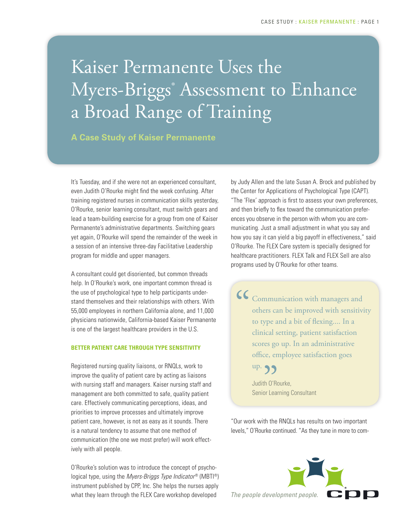# Kaiser Permanente Uses the Myers-Briggs® Assessment to Enhance a Broad Range of Training

**A Case Study of Kaiser Permanente**

It's Tuesday, and if she were not an experienced consultant, even Judith O'Rourke might find the week confusing. After training registered nurses in communication skills yesterday, O'Rourke, senior learning consultant, must switch gears and lead a team-building exercise for a group from one of Kaiser Permanente's administrative departments. Switching gears yet again, O'Rourke will spend the remainder of the week in a session of an intensive three-day Facilitative Leadership program for middle and upper managers.

A consultant could get disoriented, but common threads help. In O'Rourke's work, one important common thread is the use of psychological type to help participants understand themselves and their relationships with others. With 55,000 employees in northern California alone, and 11,000 physicians nationwide, California-based Kaiser Permanente is one of the largest healthcare providers in the U.S.

#### **BETTER PATIENT CARE THROUGH TYPE SENSITIVITY**

Registered nursing quality liaisons, or RNQLs, work to improve the quality of patient care by acting as liaisons with nursing staff and managers. Kaiser nursing staff and management are both committed to safe, quality patient care. Effectively communicating perceptions, ideas, and priorities to improve processes and ultimately improve patient care, however, is not as easy as it sounds. There is a natural tendency to assume that one method of communication (the one we most prefer) will work effectively with all people.

O'Rourke's solution was to introduce the concept of psychological type, using the *Myers-Briggs Type Indicator®* (MBTI®) instrument published by CPP, Inc. She helps the nurses apply what they learn through the FLEX Care workshop developed

by Judy Allen and the late Susan A. Brock and published by the Center for Applications of Psychological Type (CAPT). "The 'Flex' approach is first to assess your own preferences, and then briefly to flex toward the communication preferences you observe in the person with whom you are communicating. Just a small adjustment in what you say and how you say it can yield a big payoff in effectiveness," said O'Rourke. The FLEX Care system is specially designed for healthcare practitioners. FLEX Talk and FLEX Sell are also programs used by O'Rourke for other teams.

Communication with managers and others can be improved with sensitivity to type and a bit of flexing.... In a clinical setting, patient satisfaction scores go up. In an administrative office, employee satisfaction goes  $\frac{1}{\sqrt{2}}$ 

> up.<br>Judith O'Ro<br>Senior Lear Judith O'Rourke, Senior Learning Consultant

"Our work with the RNQLs has results on two important levels," O'Rourke continued. "As they tune in more to com-

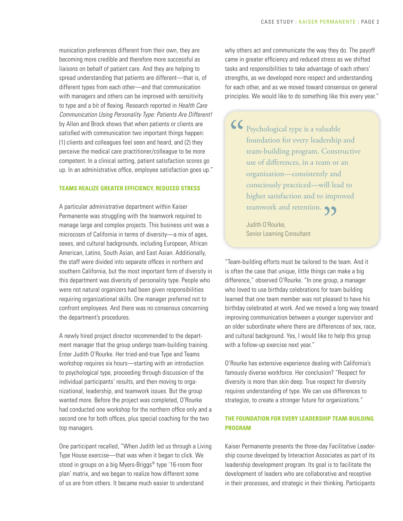munication preferences different from their own, they are becoming more credible and therefore more successful as liaisons on behalf of patient care. And they are helping to spread understanding that patients are different—that is, of different types from each other—and that communication with managers and others can be improved with sensitivity to type and a bit of flexing. Research reported in *Health Care Communication Using Personality Type: Patients Are Different!*  by Allen and Brock shows that when patients or clients are satisfied with communication two important things happen: (1) clients and colleagues feel seen and heard, and (2) they perceive the medical care practitioner/colleague to be more competent. In a clinical setting, patient satisfaction scores go up. In an administrative office, employee satisfaction goes up."

#### **TEAMS REALIZE GREATER EFFICIENCY, REDUCED STRESS**

A particular administrative department within Kaiser Permanente was struggling with the teamwork required to manage large and complex projects. This business unit was a microcosm of California in terms of diversity—a mix of ages, sexes, and cultural backgrounds, including European, African American, Latino, South Asian, and East Asian. Additionally, the staff were divided into separate offices in northern and southern California, but the most important form of diversity in this department was diversity of personality type. People who were not natural organizers had been given responsibilities requiring organizational skills. One manager preferred not to confront employees. And there was no consensus concerning the department's procedures.

A newly hired project director recommended to the department manager that the group undergo team-building training. Enter Judith O'Rourke. Her tried-and-true Type and Teams workshop requires six hours—starting with an introduction to psychological type, proceeding through discussion of the individual participants' results, and then moving to organizational, leadership, and teamwork issues. But the group wanted more. Before the project was completed, O'Rourke had conducted one workshop for the northern office only and a second one for both offices, plus special coaching for the two top managers.

One participant recalled, "When Judith led us through a Living Type House exercise—that was when it began to click. We stood in groups on a big Myers-Briggs® type '16-room floor plan' matrix, and we began to realize how different some of us are from others. It became much easier to understand

why others act and communicate the way they do. The payoff came in greater efficiency and reduced stress as we shifted tasks and responsibilities to take advantage of each others' strengths, as we developed more respect and understanding for each other, and as we moved toward consensus on general principles. We would like to do something like this every year."

Psychological type is a valuable foundation for every leadership and team-building program. Constructive use of differences, in a team or an organization—consistently and consciously practiced—will lead to higher satisfaction and to improved "<br>"<br>
"

teamwork and retention.<br>
Judith O'Rourke,<br>
Senior Learning Consultant Judith O'Rourke, Senior Learning Consultant

"Team-building efforts must be tailored to the team. And it is often the case that unique, little things can make a big difference," observed O'Rourke. "In one group, a manager who loved to use birthday celebrations for team building learned that one team member was not pleased to have his birthday celebrated at work. And we moved a long way toward improving communication between a younger supervisor and an older subordinate where there are differences of sex, race, and cultural background. Yes, I would like to help this group with a follow-up exercise next year."

O'Rourke has extensive experience dealing with California's famously diverse workforce. Her conclusion? "Respect for diversity is more than skin deep. True respect for diversity requires understanding of type. We can use differences to strategize, to create a stronger future for organizations."

### **THE FOUNDATION FOR EVERY LEADERSHIP TEAM-BUILDING PROGRAM**

Kaiser Permanente presents the three-day Facilitative Leadership course developed by Interaction Associates as part of its leadership development program. Its goal is to facilitate the development of leaders who are collaborative and receptive in their processes, and strategic in their thinking. Participants